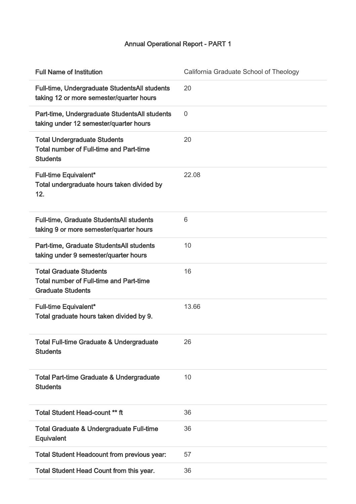## Annual Operational Report - PART 1

| <b>Full Name of Institution</b>                                                                              | California Graduate School of Theology |
|--------------------------------------------------------------------------------------------------------------|----------------------------------------|
| Full-time, Undergraduate StudentsAll students<br>taking 12 or more semester/quarter hours                    | 20                                     |
| Part-time, Undergraduate StudentsAll students<br>taking under 12 semester/quarter hours                      | 0                                      |
| <b>Total Undergraduate Students</b><br><b>Total number of Full-time and Part-time</b><br><b>Students</b>     | 20                                     |
| <b>Full-time Equivalent*</b><br>Total undergraduate hours taken divided by<br>12.                            | 22.08                                  |
| <b>Full-time, Graduate StudentsAll students</b><br>taking 9 or more semester/quarter hours                   | 6                                      |
| Part-time, Graduate StudentsAll students<br>taking under 9 semester/quarter hours                            | 10                                     |
| <b>Total Graduate Students</b><br><b>Total number of Full-time and Part-time</b><br><b>Graduate Students</b> | 16                                     |
| <b>Full-time Equivalent*</b><br>Total graduate hours taken divided by 9.                                     | 13.66                                  |
| <b>Total Full-time Graduate &amp; Undergraduate</b><br><b>Students</b>                                       | 26                                     |
| Total Part-time Graduate & Undergraduate<br><b>Students</b>                                                  | 10                                     |
| <b>Total Student Head-count ** ft</b>                                                                        | 36                                     |
| <b>Total Graduate &amp; Undergraduate Full-time</b><br>Equivalent                                            | 36                                     |
| <b>Total Student Headcount from previous year:</b>                                                           | 57                                     |
| Total Student Head Count from this year.                                                                     | 36                                     |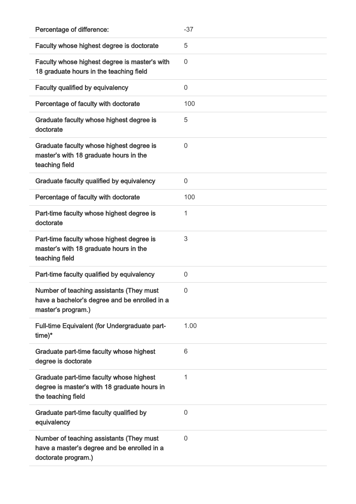| Percentage of difference:                                                                                       | $-37$          |
|-----------------------------------------------------------------------------------------------------------------|----------------|
| Faculty whose highest degree is doctorate                                                                       | 5              |
| Faculty whose highest degree is master's with<br>18 graduate hours in the teaching field                        | $\overline{0}$ |
| <b>Faculty qualified by equivalency</b>                                                                         | 0              |
| Percentage of faculty with doctorate                                                                            | 100            |
| Graduate faculty whose highest degree is<br>doctorate                                                           | 5              |
| Graduate faculty whose highest degree is<br>master's with 18 graduate hours in the<br>teaching field            | $\overline{0}$ |
| Graduate faculty qualified by equivalency                                                                       | $\overline{0}$ |
| Percentage of faculty with doctorate                                                                            | 100            |
| Part-time faculty whose highest degree is<br>doctorate                                                          | 1              |
| Part-time faculty whose highest degree is<br>master's with 18 graduate hours in the<br>teaching field           | 3              |
| Part-time faculty qualified by equivalency                                                                      | $\mathbf 0$    |
| Number of teaching assistants (They must<br>have a bachelor's degree and be enrolled in a<br>master's program.) | 0              |
| Full-time Equivalent (for Undergraduate part-<br>$time)*$                                                       | 1.00           |
| Graduate part-time faculty whose highest<br>degree is doctorate                                                 | 6              |
| Graduate part-time faculty whose highest<br>degree is master's with 18 graduate hours in<br>the teaching field  | 1              |
| Graduate part-time faculty qualified by<br>equivalency                                                          | 0              |
| Number of teaching assistants (They must<br>have a master's degree and be enrolled in a<br>doctorate program.)  | 0              |